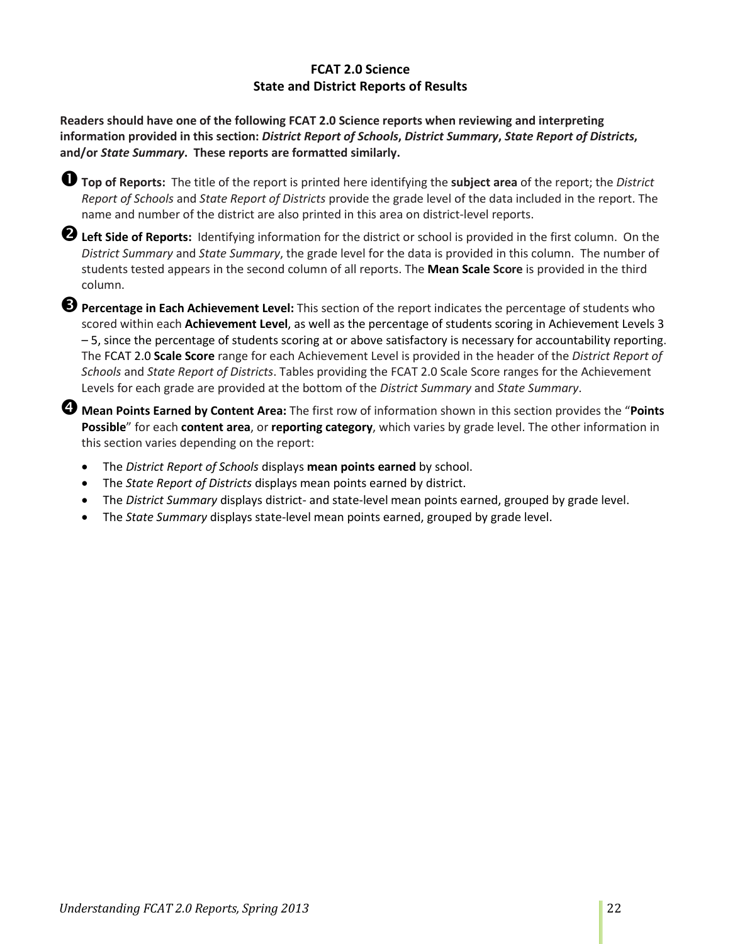## **FCAT 2.0 Science State and District Reports of Results**

**Readers should have one of the following FCAT 2.0 Science reports when reviewing and interpreting information provided in this section:** *District Report of Schools***,** *District Summary***,** *State Report of Districts***, and/or** *State Summary***. These reports are formatted similarly.** 

**Top of Reports:** The title of the report is printed here identifying the **subject area** of the report; the *District Report of Schools* and *State Report of Districts* provide the grade level of the data included in the report. The name and number of the district are also printed in this area on district-level reports.

**Left Side of Reports:** Identifying information for the district or school is provided in the first column. On the *District Summary* and *State Summary*, the grade level for the data is provided in this column. The number of students tested appears in the second column of all reports. The **Mean Scale Score** is provided in the third column.

**Percentage in Each Achievement Level:** This section of the report indicates the percentage of students who scored within each **Achievement Level**, as well as the percentage of students scoring in Achievement Levels 3 – 5, since the percentage of students scoring at or above satisfactory is necessary for accountability reporting. The FCAT 2.0 **Scale Score** range for each Achievement Level is provided in the header of the *District Report of Schools* and *State Report of Districts*. Tables providing the FCAT 2.0 Scale Score ranges for the Achievement Levels for each grade are provided at the bottom of the *District Summary* and *State Summary*.

**Mean Points Earned by Content Area:** The first row of information shown in this section provides the "**Points Possible**" for each **content area**, or **reporting category**, which varies by grade level. The other information in this section varies depending on the report:

- The *District Report of Schools* displays **mean points earned** by school.
- The *State Report of Districts* displays mean points earned by district.
- The *District Summary* displays district- and state-level mean points earned, grouped by grade level.
- The *State Summary* displays state-level mean points earned, grouped by grade level.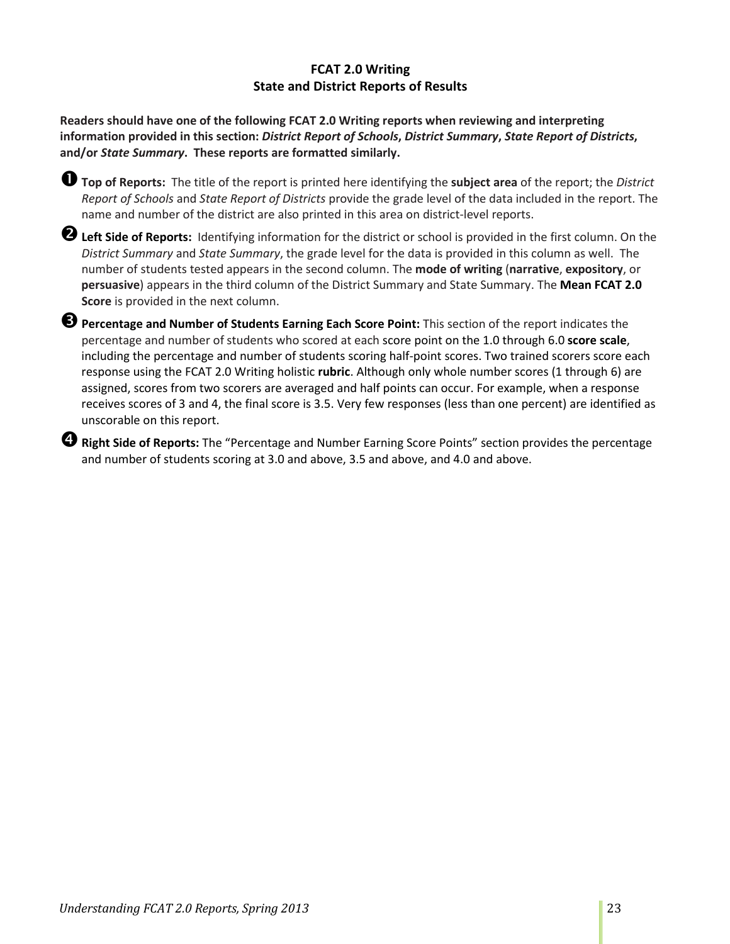# **FCAT 2.0 Writing State and District Reports of Results**

**Readers should have one of the following FCAT 2.0 Writing reports when reviewing and interpreting information provided in this section:** *District Report of Schools***,** *District Summary***,** *State Report of Districts***, and/or** *State Summary***. These reports are formatted similarly.** 

**Top of Reports:** The title of the report is printed here identifying the **subject area** of the report; the *District Report of Schools* and *State Report of Districts* provide the grade level of the data included in the report. The name and number of the district are also printed in this area on district-level reports.

**Left Side of Reports:** Identifying information for the district or school is provided in the first column. On the *District Summary* and *State Summary*, the grade level for the data is provided in this column as well. The number of students tested appears in the second column. The **mode of writing** (**narrative**, **expository**, or **persuasive**) appears in the third column of the District Summary and State Summary. The **Mean FCAT 2.0 Score** is provided in the next column.

**B** Percentage and Number of Students Earning Each Score Point: This section of the report indicates the percentage and number of students who scored at each score point on the 1.0 through 6.0 **score scale**, including the percentage and number of students scoring half-point scores. Two trained scorers score each response using the FCAT 2.0 Writing holistic **rubric**. Although only whole number scores (1 through 6) are assigned, scores from two scorers are averaged and half points can occur. For example, when a response receives scores of 3 and 4, the final score is 3.5. Very few responses (less than one percent) are identified as unscorable on this report.

**Right Side of Reports:** The "Percentage and Number Earning Score Points" section provides the percentage and number of students scoring at 3.0 and above, 3.5 and above, and 4.0 and above.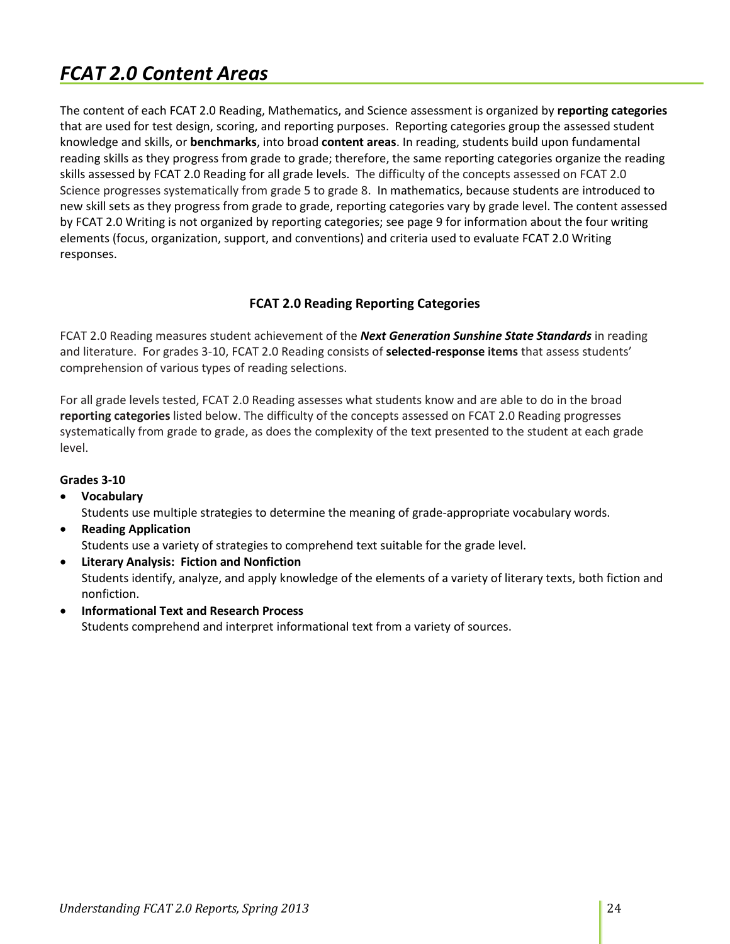# *FCAT 2.0 Content Areas*

The content of each FCAT 2.0 Reading, Mathematics, and Science assessment is organized by **reporting categories** that are used for test design, scoring, and reporting purposes. Reporting categories group the assessed student knowledge and skills, or **benchmarks**, into broad **content areas**. In reading, students build upon fundamental reading skills as they progress from grade to grade; therefore, the same reporting categories organize the reading skills assessed by FCAT 2.0 Reading for all grade levels. The difficulty of the concepts assessed on FCAT 2.0 Science progresses systematically from grade 5 to grade 8. In mathematics, because students are introduced to new skill sets as they progress from grade to grade, reporting categories vary by grade level. The content assessed by FCAT 2.0 Writing is not organized by reporting categories; see page 9 for information about the four writing elements (focus, organization, support, and conventions) and criteria used to evaluate FCAT 2.0 Writing responses.

## **FCAT 2.0 Reading Reporting Categories**

FCAT 2.0 Reading measures student achievement of the *Next Generation Sunshine State Standards* in reading and literature. For grades 3-10, FCAT 2.0 Reading consists of **selected-response items** that assess students' comprehension of various types of reading selections.

For all grade levels tested, FCAT 2.0 Reading assesses what students know and are able to do in the broad **reporting categories** listed below. The difficulty of the concepts assessed on FCAT 2.0 Reading progresses systematically from grade to grade, as does the complexity of the text presented to the student at each grade level.

#### **Grades 3-10**

- **Vocabulary** Students use multiple strategies to determine the meaning of grade-appropriate vocabulary words.
- **Reading Application** Students use a variety of strategies to comprehend text suitable for the grade level.
- **Literary Analysis: Fiction and Nonfiction** Students identify, analyze, and apply knowledge of the elements of a variety of literary texts, both fiction and nonfiction.
- **Informational Text and Research Process** Students comprehend and interpret informational text from a variety of sources.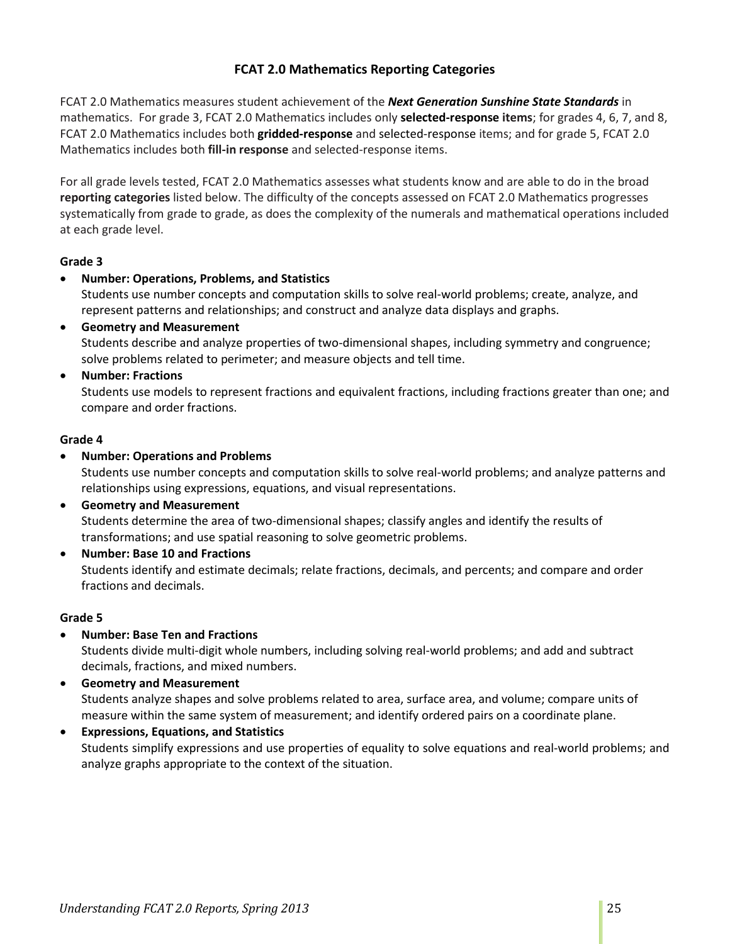# **FCAT 2.0 Mathematics Reporting Categories**

FCAT 2.0 Mathematics measures student achievement of the *Next Generation Sunshine State Standards* in mathematics. For grade 3, FCAT 2.0 Mathematics includes only **selected-response items**; for grades 4, 6, 7, and 8, FCAT 2.0 Mathematics includes both **gridded-response** and selected-response items; and for grade 5, FCAT 2.0 Mathematics includes both **fill-in response** and selected-response items.

For all grade levels tested, FCAT 2.0 Mathematics assesses what students know and are able to do in the broad **reporting categories** listed below. The difficulty of the concepts assessed on FCAT 2.0 Mathematics progresses systematically from grade to grade, as does the complexity of the numerals and mathematical operations included at each grade level.

#### **Grade 3**

• **Number: Operations, Problems, and Statistics**

Students use number concepts and computation skills to solve real-world problems; create, analyze, and represent patterns and relationships; and construct and analyze data displays and graphs.

• **Geometry and Measurement** Students describe and analyze properties of two-dimensional shapes, including symmetry and congruence; solve problems related to perimeter; and measure objects and tell time.

#### • **Number: Fractions**

Students use models to represent fractions and equivalent fractions, including fractions greater than one; and compare and order fractions.

#### **Grade 4**

• **Number: Operations and Problems**

Students use number concepts and computation skills to solve real-world problems; and analyze patterns and relationships using expressions, equations, and visual representations.

- **Geometry and Measurement** Students determine the area of two-dimensional shapes; classify angles and identify the results of transformations; and use spatial reasoning to solve geometric problems.
- **Number: Base 10 and Fractions** Students identify and estimate decimals; relate fractions, decimals, and percents; and compare and order fractions and decimals.

#### **Grade 5**

• **Number: Base Ten and Fractions**

Students divide multi-digit whole numbers, including solving real-world problems; and add and subtract decimals, fractions, and mixed numbers.

- **Geometry and Measurement** Students analyze shapes and solve problems related to area, surface area, and volume; compare units of measure within the same system of measurement; and identify ordered pairs on a coordinate plane.
- **Expressions, Equations, and Statistics** Students simplify expressions and use properties of equality to solve equations and real-world problems; and analyze graphs appropriate to the context of the situation.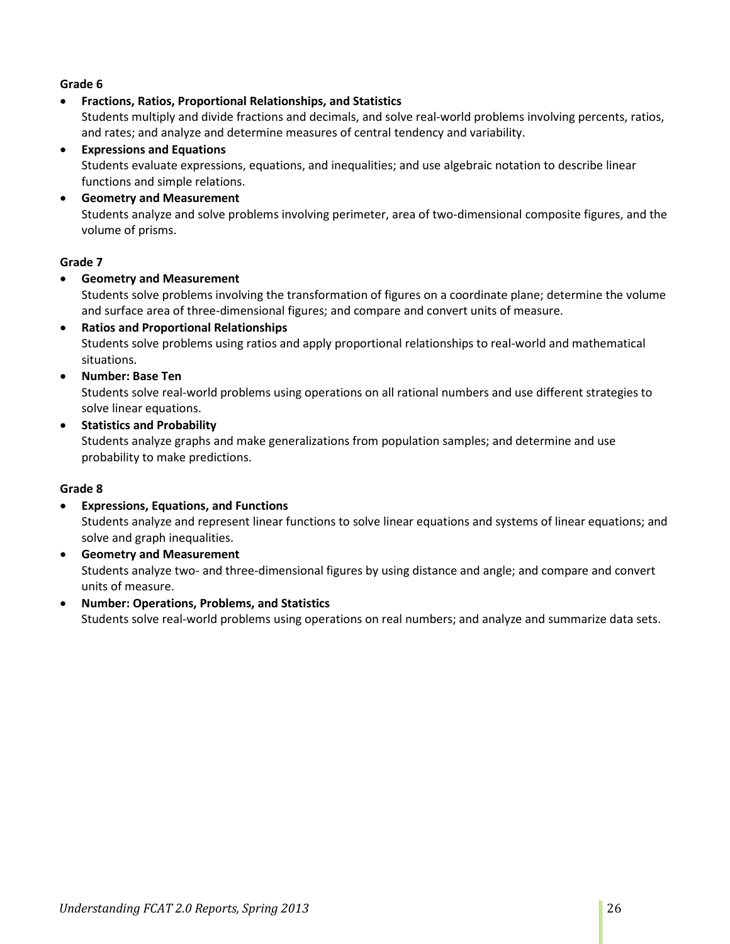#### **Grade 6**

• **Fractions, Ratios, Proportional Relationships, and Statistics**

Students multiply and divide fractions and decimals, and solve real-world problems involving percents, ratios, and rates; and analyze and determine measures of central tendency and variability.

- **Expressions and Equations** Students evaluate expressions, equations, and inequalities; and use algebraic notation to describe linear functions and simple relations.
- **Geometry and Measurement** Students analyze and solve problems involving perimeter, area of two-dimensional composite figures, and the volume of prisms.

#### **Grade 7**

• **Geometry and Measurement**

Students solve problems involving the transformation of figures on a coordinate plane; determine the volume and surface area of three-dimensional figures; and compare and convert units of measure.

- **Ratios and Proportional Relationships** Students solve problems using ratios and apply proportional relationships to real-world and mathematical situations.
- **Number: Base Ten**

Students solve real-world problems using operations on all rational numbers and use different strategies to solve linear equations.

• **Statistics and Probability**

Students analyze graphs and make generalizations from population samples; and determine and use probability to make predictions.

#### **Grade 8**

- **Expressions, Equations, and Functions** Students analyze and represent linear functions to solve linear equations and systems of linear equations; and solve and graph inequalities.
- **Geometry and Measurement** Students analyze two- and three-dimensional figures by using distance and angle; and compare and convert units of measure.
- **Number: Operations, Problems, and Statistics** Students solve real-world problems using operations on real numbers; and analyze and summarize data sets.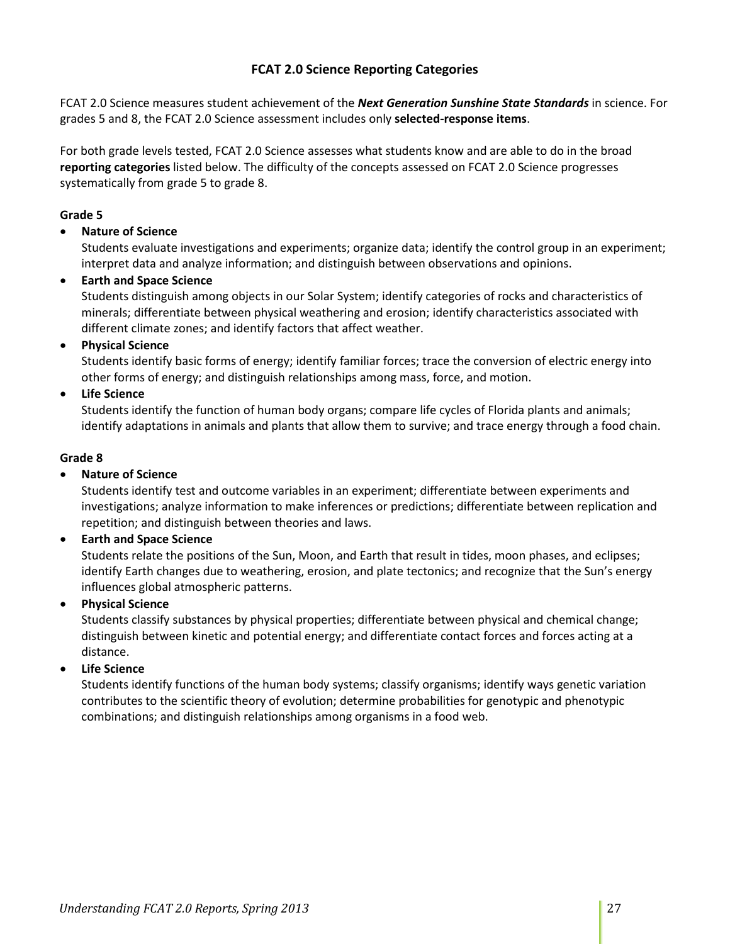# **FCAT 2.0 Science Reporting Categories**

FCAT 2.0 Science measures student achievement of the *Next Generation Sunshine State Standards* in science. For grades 5 and 8, the FCAT 2.0 Science assessment includes only **selected-response items**.

For both grade levels tested, FCAT 2.0 Science assesses what students know and are able to do in the broad **reporting categories** listed below. The difficulty of the concepts assessed on FCAT 2.0 Science progresses systematically from grade 5 to grade 8.

#### **Grade 5**

#### • **Nature of Science**

Students evaluate investigations and experiments; organize data; identify the control group in an experiment; interpret data and analyze information; and distinguish between observations and opinions.

#### • **Earth and Space Science**

Students distinguish among objects in our Solar System; identify categories of rocks and characteristics of minerals; differentiate between physical weathering and erosion; identify characteristics associated with different climate zones; and identify factors that affect weather.

#### • **Physical Science**

Students identify basic forms of energy; identify familiar forces; trace the conversion of electric energy into other forms of energy; and distinguish relationships among mass, force, and motion.

#### • **Life Science**

Students identify the function of human body organs; compare life cycles of Florida plants and animals; identify adaptations in animals and plants that allow them to survive; and trace energy through a food chain.

#### **Grade 8**

#### • **Nature of Science**

Students identify test and outcome variables in an experiment; differentiate between experiments and investigations; analyze information to make inferences or predictions; differentiate between replication and repetition; and distinguish between theories and laws.

#### • **Earth and Space Science**

Students relate the positions of the Sun, Moon, and Earth that result in tides, moon phases, and eclipses; identify Earth changes due to weathering, erosion, and plate tectonics; and recognize that the Sun's energy influences global atmospheric patterns.

#### • **Physical Science**

Students classify substances by physical properties; differentiate between physical and chemical change; distinguish between kinetic and potential energy; and differentiate contact forces and forces acting at a distance.

#### • **Life Science**

Students identify functions of the human body systems; classify organisms; identify ways genetic variation contributes to the scientific theory of evolution; determine probabilities for genotypic and phenotypic combinations; and distinguish relationships among organisms in a food web.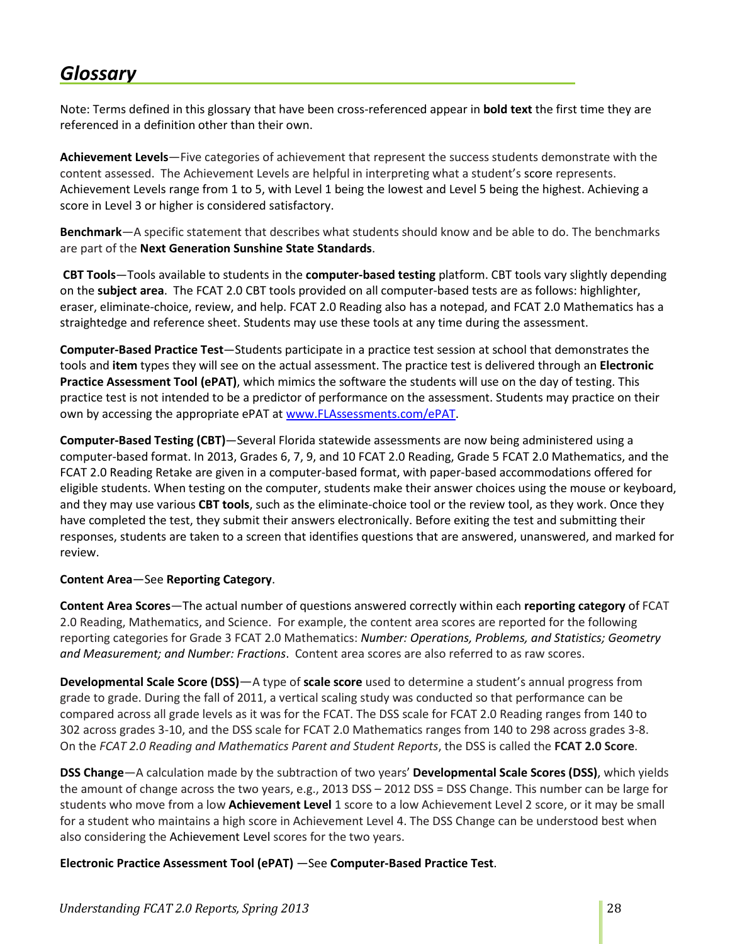# *Glossary*

Note: Terms defined in this glossary that have been cross-referenced appear in **bold text** the first time they are referenced in a definition other than their own.

**Achievement Levels**—Five categories of achievement that represent the success students demonstrate with the content assessed. The Achievement Levels are helpful in interpreting what a student's score represents. Achievement Levels range from 1 to 5, with Level 1 being the lowest and Level 5 being the highest. Achieving a score in Level 3 or higher is considered satisfactory.

**Benchmark**—A specific statement that describes what students should know and be able to do. The benchmarks are part of the **Next Generation Sunshine State Standards**.

**CBT Tools**—Tools available to students in the **computer-based testing** platform. CBT tools vary slightly depending on the **subject area**. The FCAT 2.0 CBT tools provided on all computer-based tests are as follows: highlighter, eraser, eliminate-choice, review, and help. FCAT 2.0 Reading also has a notepad, and FCAT 2.0 Mathematics has a straightedge and reference sheet. Students may use these tools at any time during the assessment.

**Computer-Based Practice Test**—Students participate in a practice test session at school that demonstrates the tools and **item** types they will see on the actual assessment. The practice test is delivered through an **Electronic Practice Assessment Tool (ePAT)**, which mimics the software the students will use on the day of testing. This practice test is not intended to be a predictor of performance on the assessment. Students may practice on their own by accessing the appropriate ePAT at [www.FLAssessments.com/ePAT.](http://www.flassessments.com/ePAT)

**Computer-Based Testing (CBT)**—Several Florida statewide assessments are now being administered using a computer-based format. In 2013, Grades 6, 7, 9, and 10 FCAT 2.0 Reading, Grade 5 FCAT 2.0 Mathematics, and the FCAT 2.0 Reading Retake are given in a computer-based format, with paper-based accommodations offered for eligible students. When testing on the computer, students make their answer choices using the mouse or keyboard, and they may use various **CBT tools**, such as the eliminate-choice tool or the review tool, as they work. Once they have completed the test, they submit their answers electronically. Before exiting the test and submitting their responses, students are taken to a screen that identifies questions that are answered, unanswered, and marked for review.

#### **Content Area**—See **Reporting Category**.

**Content Area Scores**—The actual number of questions answered correctly within each **reporting category** of FCAT 2.0 Reading, Mathematics, and Science. For example, the content area scores are reported for the following reporting categories for Grade 3 FCAT 2.0 Mathematics: *Number: Operations, Problems, and Statistics; Geometry and Measurement; and Number: Fractions*. Content area scores are also referred to as raw scores.

**Developmental Scale Score (DSS)**—A type of **scale score** used to determine a student's annual progress from grade to grade. During the fall of 2011, a vertical scaling study was conducted so that performance can be compared across all grade levels as it was for the FCAT. The DSS scale for FCAT 2.0 Reading ranges from 140 to 302 across grades 3-10, and the DSS scale for FCAT 2.0 Mathematics ranges from 140 to 298 across grades 3-8. On the *FCAT 2.0 Reading and Mathematics Parent and Student Reports*, the DSS is called the **FCAT 2.0 Score**.

**DSS Change**—A calculation made by the subtraction of two years' **Developmental Scale Scores (DSS)**, which yields the amount of change across the two years, e.g., 2013 DSS – 2012 DSS = DSS Change. This number can be large for students who move from a low **Achievement Level** 1 score to a low Achievement Level 2 score, or it may be small for a student who maintains a high score in Achievement Level 4. The DSS Change can be understood best when also considering the Achievement Level scores for the two years.

**Electronic Practice Assessment Tool (ePAT)** —See **Computer-Based Practice Test**.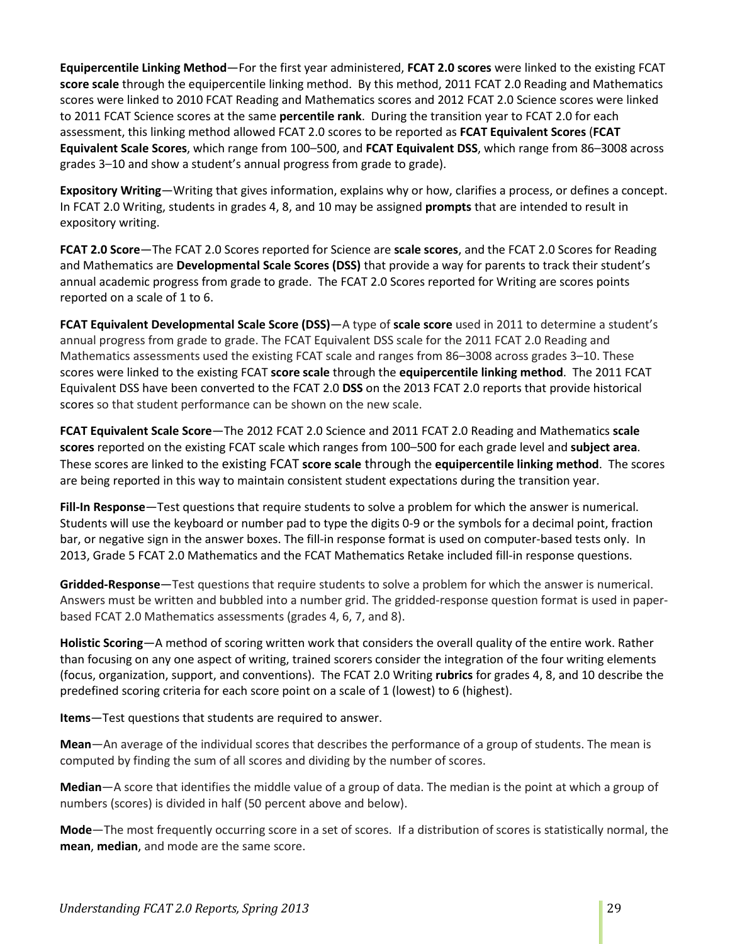**Equipercentile Linking Method**—For the first year administered, **FCAT 2.0 scores** were linked to the existing FCAT **score scale** through the equipercentile linking method. By this method, 2011 FCAT 2.0 Reading and Mathematics scores were linked to 2010 FCAT Reading and Mathematics scores and 2012 FCAT 2.0 Science scores were linked to 2011 FCAT Science scores at the same **percentile rank**. During the transition year to FCAT 2.0 for each assessment, this linking method allowed FCAT 2.0 scores to be reported as **FCAT Equivalent Scores** (**FCAT Equivalent Scale Scores**, which range from 100–500, and **FCAT Equivalent DSS**, which range from 86–3008 across grades 3–10 and show a student's annual progress from grade to grade).

**Expository Writing**—Writing that gives information, explains why or how, clarifies a process, or defines a concept. In FCAT 2.0 Writing, students in grades 4, 8, and 10 may be assigned **prompts** that are intended to result in expository writing.

**FCAT 2.0 Score**—The FCAT 2.0 Scores reported for Science are **scale scores**, and the FCAT 2.0 Scores for Reading and Mathematics are **Developmental Scale Scores (DSS)** that provide a way for parents to track their student's annual academic progress from grade to grade. The FCAT 2.0 Scores reported for Writing are scores points reported on a scale of 1 to 6.

**FCAT Equivalent Developmental Scale Score (DSS)**—A type of **scale score** used in 2011 to determine a student's annual progress from grade to grade. The FCAT Equivalent DSS scale for the 2011 FCAT 2.0 Reading and Mathematics assessments used the existing FCAT scale and ranges from 86–3008 across grades 3–10. These scores were linked to the existing FCAT **score scale** through the **equipercentile linking method**. The 2011 FCAT Equivalent DSS have been converted to the FCAT 2.0 **DSS** on the 2013 FCAT 2.0 reports that provide historical scores so that student performance can be shown on the new scale.

**FCAT Equivalent Scale Score**—The 2012 FCAT 2.0 Science and 2011 FCAT 2.0 Reading and Mathematics **scale scores** reported on the existing FCAT scale which ranges from 100–500 for each grade level and **subject area**. These scores are linked to the existing FCAT **score scale** through the **equipercentile linking method**. The scores are being reported in this way to maintain consistent student expectations during the transition year.

**Fill-In Response**—Test questions that require students to solve a problem for which the answer is numerical. Students will use the keyboard or number pad to type the digits 0-9 or the symbols for a decimal point, fraction bar, or negative sign in the answer boxes. The fill-in response format is used on computer-based tests only. In 2013, Grade 5 FCAT 2.0 Mathematics and the FCAT Mathematics Retake included fill-in response questions.

**Gridded-Response**—Test questions that require students to solve a problem for which the answer is numerical. Answers must be written and bubbled into a number grid. The gridded-response question format is used in paperbased FCAT 2.0 Mathematics assessments (grades 4, 6, 7, and 8).

**Holistic Scoring**—A method of scoring written work that considers the overall quality of the entire work. Rather than focusing on any one aspect of writing, trained scorers consider the integration of the four writing elements (focus, organization, support, and conventions). The FCAT 2.0 Writing **rubrics** for grades 4, 8, and 10 describe the predefined scoring criteria for each score point on a scale of 1 (lowest) to 6 (highest).

**Items**—Test questions that students are required to answer.

**Mean**—An average of the individual scores that describes the performance of a group of students. The mean is computed by finding the sum of all scores and dividing by the number of scores.

**Median**—A score that identifies the middle value of a group of data. The median is the point at which a group of numbers (scores) is divided in half (50 percent above and below).

**Mode**—The most frequently occurring score in a set of scores. If a distribution of scores is statistically normal, the **mean**, **median**, and mode are the same score.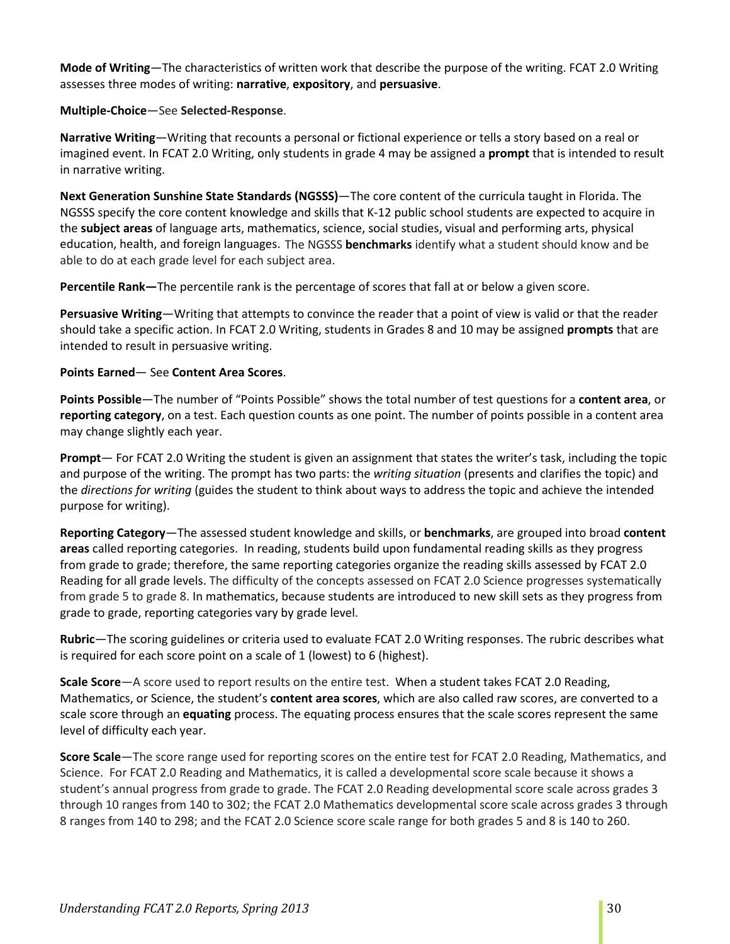**Mode of Writing**—The characteristics of written work that describe the purpose of the writing. FCAT 2.0 Writing assesses three modes of writing: **narrative**, **expository**, and **persuasive**.

#### **Multiple-Choice**—See **Selected-Response**.

**Narrative Writing**—Writing that recounts a personal or fictional experience or tells a story based on a real or imagined event. In FCAT 2.0 Writing, only students in grade 4 may be assigned a **prompt** that is intended to result in narrative writing.

**Next Generation Sunshine State Standards (NGSSS)**—The core content of the curricula taught in Florida. The NGSSS specify the core content knowledge and skills that K-12 public school students are expected to acquire in the **subject areas** of language arts, mathematics, science, social studies, visual and performing arts, physical education, health, and foreign languages. The NGSSS **benchmarks** identify what a student should know and be able to do at each grade level for each subject area.

**Percentile Rank—**The percentile rank is the percentage of scores that fall at or below a given score.

**Persuasive Writing**—Writing that attempts to convince the reader that a point of view is valid or that the reader should take a specific action. In FCAT 2.0 Writing, students in Grades 8 and 10 may be assigned **prompts** that are intended to result in persuasive writing.

#### **Points Earned**— See **Content Area Scores**.

**Points Possible**—The number of "Points Possible" shows the total number of test questions for a **content area**, or **reporting category**, on a test. Each question counts as one point. The number of points possible in a content area may change slightly each year.

**Prompt**— For FCAT 2.0 Writing the student is given an assignment that states the writer's task, including the topic and purpose of the writing. The prompt has two parts: the *writing situation* (presents and clarifies the topic) and the *directions for writing* (guides the student to think about ways to address the topic and achieve the intended purpose for writing).

**Reporting Category**—The assessed student knowledge and skills, or **benchmarks**, are grouped into broad **content areas** called reporting categories. In reading, students build upon fundamental reading skills as they progress from grade to grade; therefore, the same reporting categories organize the reading skills assessed by FCAT 2.0 Reading for all grade levels. The difficulty of the concepts assessed on FCAT 2.0 Science progresses systematically from grade 5 to grade 8. In mathematics, because students are introduced to new skill sets as they progress from grade to grade, reporting categories vary by grade level.

**Rubric**—The scoring guidelines or criteria used to evaluate FCAT 2.0 Writing responses. The rubric describes what is required for each score point on a scale of 1 (lowest) to 6 (highest).

**Scale Score**—A score used to report results on the entire test. When a student takes FCAT 2.0 Reading, Mathematics, or Science, the student's **content area scores**, which are also called raw scores, are converted to a scale score through an **equating** process. The equating process ensures that the scale scores represent the same level of difficulty each year.

**Score Scale**—The score range used for reporting scores on the entire test for FCAT 2.0 Reading, Mathematics, and Science. For FCAT 2.0 Reading and Mathematics, it is called a developmental score scale because it shows a student's annual progress from grade to grade. The FCAT 2.0 Reading developmental score scale across grades 3 through 10 ranges from 140 to 302; the FCAT 2.0 Mathematics developmental score scale across grades 3 through 8 ranges from 140 to 298; and the FCAT 2.0 Science score scale range for both grades 5 and 8 is 140 to 260.